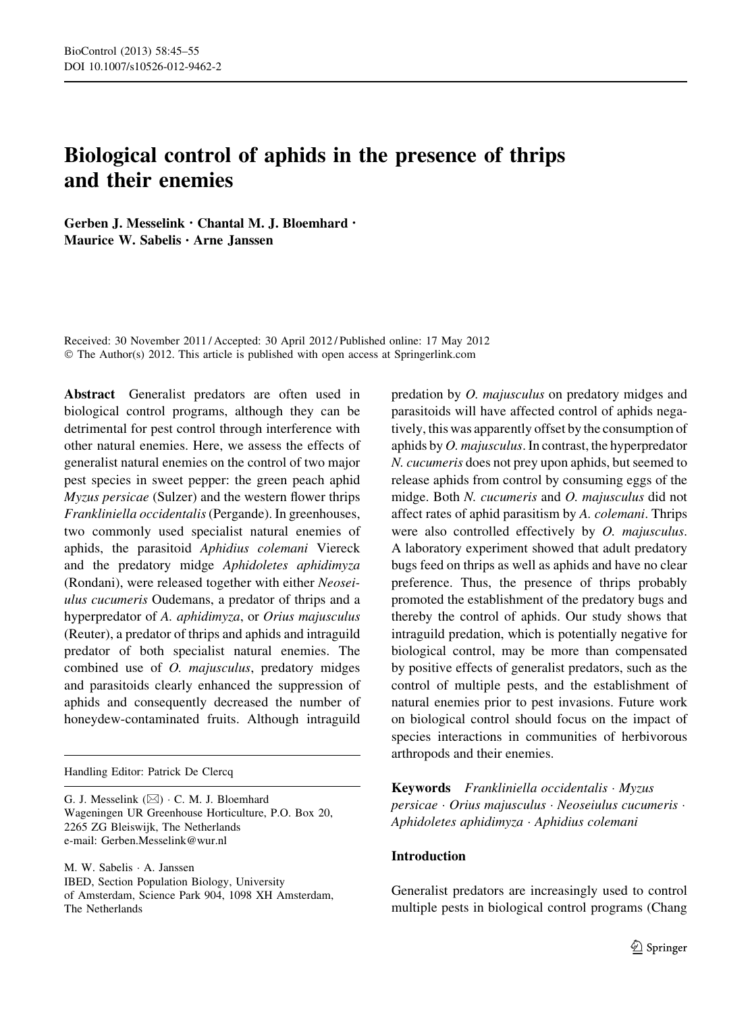# Biological control of aphids in the presence of thrips and their enemies

Gerben J. Messelink • Chantal M. J. Bloemhard • Maurice W. Sabelis • Arne Janssen

Received: 30 November 2011 / Accepted: 30 April 2012 / Published online: 17 May 2012 © The Author(s) 2012. This article is published with open access at Springerlink.com

Abstract Generalist predators are often used in biological control programs, although they can be detrimental for pest control through interference with other natural enemies. Here, we assess the effects of generalist natural enemies on the control of two major pest species in sweet pepper: the green peach aphid Myzus persicae (Sulzer) and the western flower thrips Frankliniella occidentalis(Pergande). In greenhouses, two commonly used specialist natural enemies of aphids, the parasitoid Aphidius colemani Viereck and the predatory midge Aphidoletes aphidimyza (Rondani), were released together with either Neoseiulus cucumeris Oudemans, a predator of thrips and a hyperpredator of A. aphidimyza, or Orius majusculus (Reuter), a predator of thrips and aphids and intraguild predator of both specialist natural enemies. The combined use of O. majusculus, predatory midges and parasitoids clearly enhanced the suppression of aphids and consequently decreased the number of honeydew-contaminated fruits. Although intraguild

Handling Editor: Patrick De Clercq

G. J. Messelink  $(\boxtimes) \cdot C$ . M. J. Bloemhard Wageningen UR Greenhouse Horticulture, P.O. Box 20, 2265 ZG Bleiswijk, The Netherlands e-mail: Gerben.Messelink@wur.nl

M. W. Sabelis - A. Janssen IBED, Section Population Biology, University of Amsterdam, Science Park 904, 1098 XH Amsterdam, The Netherlands

predation by O. majusculus on predatory midges and parasitoids will have affected control of aphids negatively, this was apparently offset by the consumption of aphids by O. majusculus. In contrast, the hyperpredator N. cucumeris does not prey upon aphids, but seemed to release aphids from control by consuming eggs of the midge. Both N. cucumeris and O. majusculus did not affect rates of aphid parasitism by A. colemani. Thrips were also controlled effectively by *O. majusculus*. A laboratory experiment showed that adult predatory bugs feed on thrips as well as aphids and have no clear preference. Thus, the presence of thrips probably promoted the establishment of the predatory bugs and thereby the control of aphids. Our study shows that intraguild predation, which is potentially negative for biological control, may be more than compensated by positive effects of generalist predators, such as the control of multiple pests, and the establishment of natural enemies prior to pest invasions. Future work on biological control should focus on the impact of species interactions in communities of herbivorous arthropods and their enemies.

Keywords Frankliniella occidentalis · Myzus persicae - Orius majusculus - Neoseiulus cucumeris - Aphidoletes aphidimyza - Aphidius colemani

## Introduction

Generalist predators are increasingly used to control multiple pests in biological control programs (Chang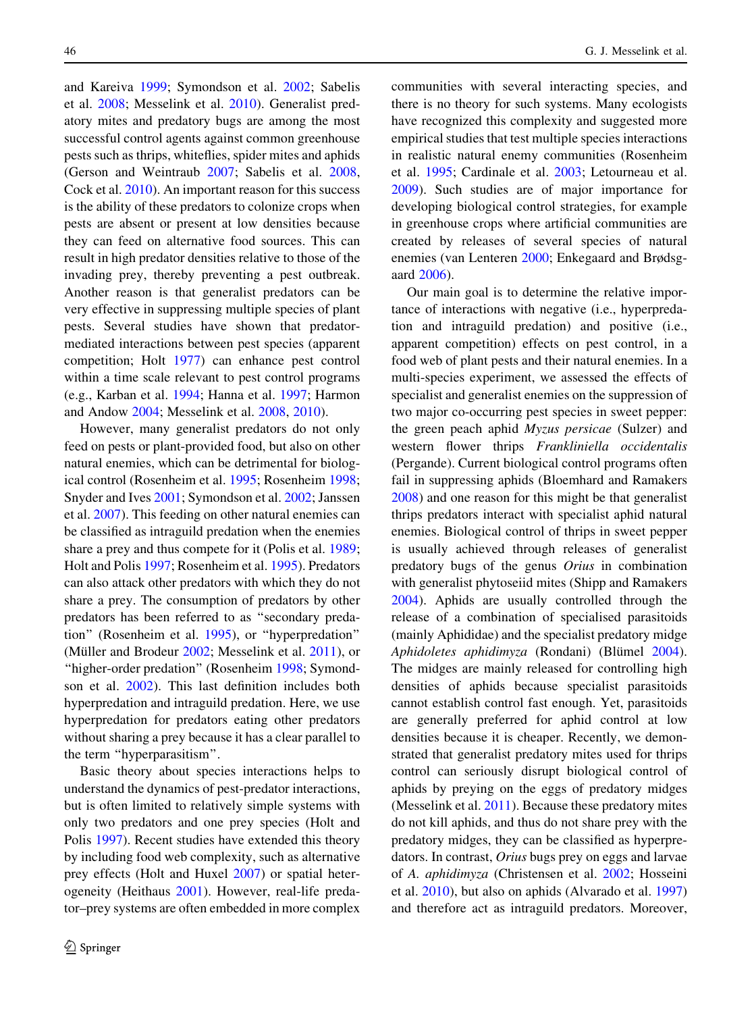and Kareiva [1999;](#page-9-0) Symondson et al. [2002](#page-10-0); Sabelis et al. [2008](#page-10-0); Messelink et al. [2010\)](#page-9-0). Generalist predatory mites and predatory bugs are among the most successful control agents against common greenhouse pests such as thrips, whiteflies, spider mites and aphids (Gerson and Weintraub [2007;](#page-9-0) Sabelis et al. [2008,](#page-10-0) Cock et al. [2010\)](#page-9-0). An important reason for this success is the ability of these predators to colonize crops when pests are absent or present at low densities because they can feed on alternative food sources. This can result in high predator densities relative to those of the invading prey, thereby preventing a pest outbreak. Another reason is that generalist predators can be very effective in suppressing multiple species of plant pests. Several studies have shown that predatormediated interactions between pest species (apparent competition; Holt [1977](#page-9-0)) can enhance pest control within a time scale relevant to pest control programs (e.g., Karban et al. [1994;](#page-9-0) Hanna et al. [1997;](#page-9-0) Harmon and Andow [2004](#page-9-0); Messelink et al. [2008](#page-9-0), [2010](#page-9-0)).

However, many generalist predators do not only feed on pests or plant-provided food, but also on other natural enemies, which can be detrimental for biological control (Rosenheim et al. [1995;](#page-10-0) Rosenheim [1998](#page-10-0); Snyder and Ives [2001](#page-10-0); Symondson et al. [2002;](#page-10-0) Janssen et al. [2007](#page-9-0)). This feeding on other natural enemies can be classified as intraguild predation when the enemies share a prey and thus compete for it (Polis et al. [1989](#page-10-0); Holt and Polis [1997](#page-9-0); Rosenheim et al. [1995\)](#page-10-0). Predators can also attack other predators with which they do not share a prey. The consumption of predators by other predators has been referred to as ''secondary predation'' (Rosenheim et al. [1995\)](#page-10-0), or ''hyperpredation'' (Müller and Brodeur  $2002$ ; Messelink et al.  $2011$ ), or "higher-order predation" (Rosenheim [1998;](#page-10-0) Symondson et al. [2002\)](#page-10-0). This last definition includes both hyperpredation and intraguild predation. Here, we use hyperpredation for predators eating other predators without sharing a prey because it has a clear parallel to the term ''hyperparasitism''.

Basic theory about species interactions helps to understand the dynamics of pest-predator interactions, but is often limited to relatively simple systems with only two predators and one prey species (Holt and Polis [1997](#page-9-0)). Recent studies have extended this theory by including food web complexity, such as alternative prey effects (Holt and Huxel [2007\)](#page-9-0) or spatial heterogeneity (Heithaus [2001](#page-9-0)). However, real-life predator–prey systems are often embedded in more complex communities with several interacting species, and there is no theory for such systems. Many ecologists have recognized this complexity and suggested more empirical studies that test multiple species interactions in realistic natural enemy communities (Rosenheim et al. [1995](#page-10-0); Cardinale et al. [2003](#page-9-0); Letourneau et al. [2009\)](#page-9-0). Such studies are of major importance for developing biological control strategies, for example in greenhouse crops where artificial communities are created by releases of several species of natural enemies (van Lenteren [2000;](#page-10-0) Enkegaard and Brødsgaard [2006\)](#page-9-0).

Our main goal is to determine the relative importance of interactions with negative (i.e., hyperpredation and intraguild predation) and positive (i.e., apparent competition) effects on pest control, in a food web of plant pests and their natural enemies. In a multi-species experiment, we assessed the effects of specialist and generalist enemies on the suppression of two major co-occurring pest species in sweet pepper: the green peach aphid Myzus persicae (Sulzer) and western flower thrips Frankliniella occidentalis (Pergande). Current biological control programs often fail in suppressing aphids (Bloemhard and Ramakers [2008\)](#page-9-0) and one reason for this might be that generalist thrips predators interact with specialist aphid natural enemies. Biological control of thrips in sweet pepper is usually achieved through releases of generalist predatory bugs of the genus Orius in combination with generalist phytoseiid mites (Shipp and Ramakers [2004\)](#page-10-0). Aphids are usually controlled through the release of a combination of specialised parasitoids (mainly Aphididae) and the specialist predatory midge Aphidoletes aphidimyza (Rondani) (Blümel [2004](#page-9-0)). The midges are mainly released for controlling high densities of aphids because specialist parasitoids cannot establish control fast enough. Yet, parasitoids are generally preferred for aphid control at low densities because it is cheaper. Recently, we demonstrated that generalist predatory mites used for thrips control can seriously disrupt biological control of aphids by preying on the eggs of predatory midges (Messelink et al. [2011](#page-10-0)). Because these predatory mites do not kill aphids, and thus do not share prey with the predatory midges, they can be classified as hyperpredators. In contrast, Orius bugs prey on eggs and larvae of A. aphidimyza (Christensen et al. [2002;](#page-9-0) Hosseini et al. [2010](#page-9-0)), but also on aphids (Alvarado et al. [1997\)](#page-9-0) and therefore act as intraguild predators. Moreover,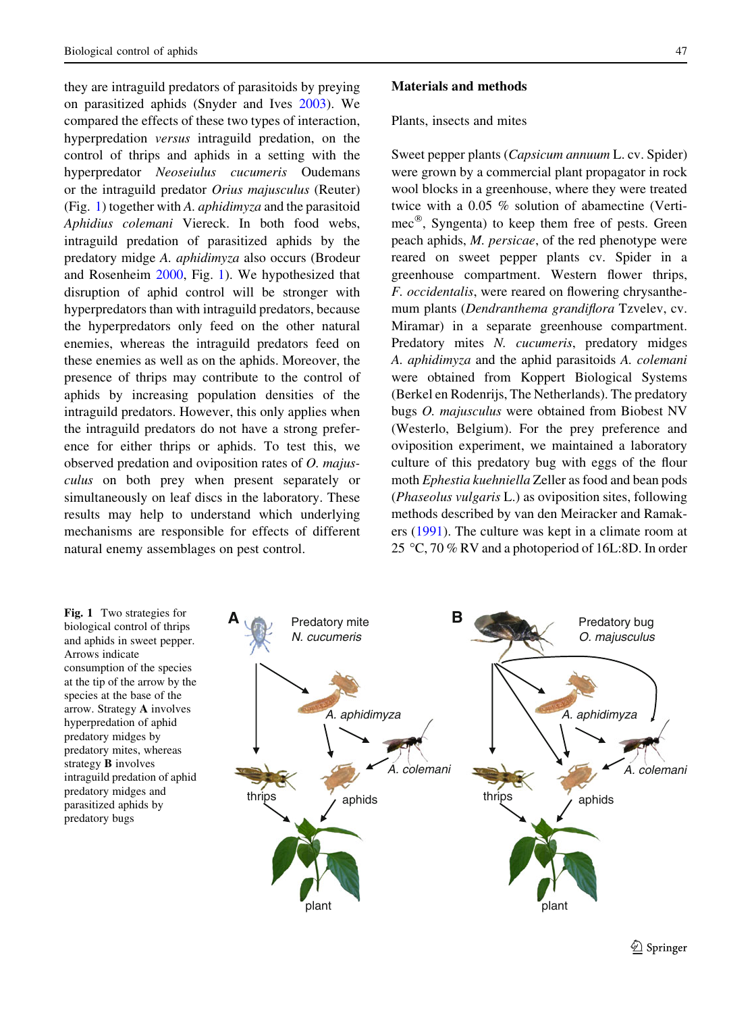<span id="page-2-0"></span>they are intraguild predators of parasitoids by preying on parasitized aphids (Snyder and Ives [2003\)](#page-10-0). We compared the effects of these two types of interaction, hyperpredation versus intraguild predation, on the control of thrips and aphids in a setting with the hyperpredator Neoseiulus cucumeris Oudemans or the intraguild predator Orius majusculus (Reuter) (Fig. 1) together with A. aphidimyza and the parasitoid Aphidius colemani Viereck. In both food webs, intraguild predation of parasitized aphids by the predatory midge A. aphidimyza also occurs (Brodeur and Rosenheim [2000](#page-9-0), Fig. 1). We hypothesized that disruption of aphid control will be stronger with hyperpredators than with intraguild predators, because the hyperpredators only feed on the other natural enemies, whereas the intraguild predators feed on these enemies as well as on the aphids. Moreover, the presence of thrips may contribute to the control of aphids by increasing population densities of the intraguild predators. However, this only applies when the intraguild predators do not have a strong preference for either thrips or aphids. To test this, we observed predation and oviposition rates of O. majusculus on both prey when present separately or simultaneously on leaf discs in the laboratory. These results may help to understand which underlying mechanisms are responsible for effects of different natural enemy assemblages on pest control.

## Materials and methods

#### Plants, insects and mites

Sweet pepper plants (Capsicum annuum L. cv. Spider) were grown by a commercial plant propagator in rock wool blocks in a greenhouse, where they were treated twice with a 0.05 % solution of abamectine (Verti $mec^{\circledR}$ , Syngenta) to keep them free of pests. Green peach aphids, M. persicae, of the red phenotype were reared on sweet pepper plants cv. Spider in a greenhouse compartment. Western flower thrips, F. occidentalis, were reared on flowering chrysanthemum plants (Dendranthema grandiflora Tzvelev, cv. Miramar) in a separate greenhouse compartment. Predatory mites N. cucumeris, predatory midges A. aphidimyza and the aphid parasitoids A. colemani were obtained from Koppert Biological Systems (Berkel en Rodenrijs, The Netherlands). The predatory bugs O. majusculus were obtained from Biobest NV (Westerlo, Belgium). For the prey preference and oviposition experiment, we maintained a laboratory culture of this predatory bug with eggs of the flour moth Ephestia kuehniella Zeller as food and bean pods (Phaseolus vulgaris L.) as oviposition sites, following methods described by van den Meiracker and Ramakers ([1991\)](#page-10-0). The culture was kept in a climate room at 25 °C, 70 % RV and a photoperiod of 16L:8D. In order

Fig. 1 Two strategies for biological control of thrips and aphids in sweet pepper. Arrows indicate consumption of the species at the tip of the arrow by the species at the base of the arrow. Strategy A involves hyperpredation of aphid predatory midges by predatory mites, whereas strategy B involves intraguild predation of aphid predatory midges and parasitized aphids by predatory bugs



 $\textcircled{2}$  Springer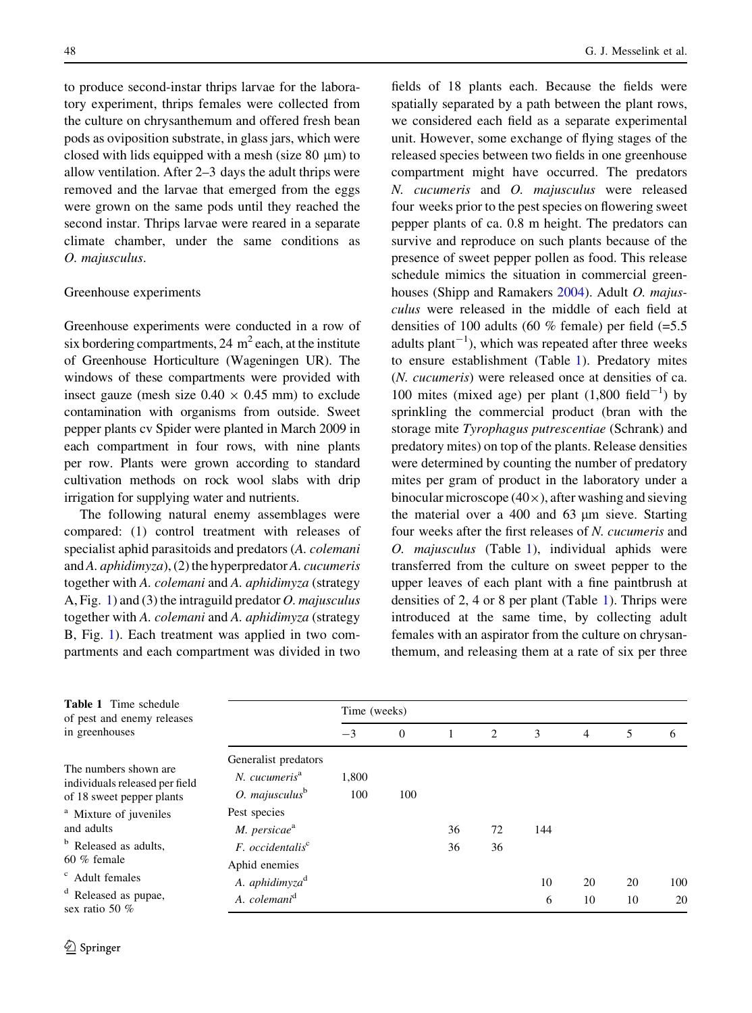<span id="page-3-0"></span>to produce second-instar thrips larvae for the laboratory experiment, thrips females were collected from the culture on chrysanthemum and offered fresh bean pods as oviposition substrate, in glass jars, which were closed with lids equipped with a mesh (size  $80 \mu m$ ) to allow ventilation. After 2–3 days the adult thrips were removed and the larvae that emerged from the eggs were grown on the same pods until they reached the second instar. Thrips larvae were reared in a separate climate chamber, under the same conditions as O. majusculus.

## Greenhouse experiments

Greenhouse experiments were conducted in a row of six bordering compartments,  $24 \text{ m}^2$  each, at the institute of Greenhouse Horticulture (Wageningen UR). The windows of these compartments were provided with insect gauze (mesh size  $0.40 \times 0.45$  mm) to exclude contamination with organisms from outside. Sweet pepper plants cv Spider were planted in March 2009 in each compartment in four rows, with nine plants per row. Plants were grown according to standard cultivation methods on rock wool slabs with drip irrigation for supplying water and nutrients.

The following natural enemy assemblages were compared: (1) control treatment with releases of specialist aphid parasitoids and predators (A. colemani and A. aphidimyza), (2) the hyperpredator A. cucumeris together with A. colemani and A. aphidimyza (strategy A, Fig. [1](#page-2-0)) and (3) the intraguild predator *O. majusculus* together with A. colemani and A. aphidimyza (strategy B, Fig. [1\)](#page-2-0). Each treatment was applied in two compartments and each compartment was divided in two fields of 18 plants each. Because the fields were spatially separated by a path between the plant rows, we considered each field as a separate experimental unit. However, some exchange of flying stages of the released species between two fields in one greenhouse compartment might have occurred. The predators N. cucumeris and O. majusculus were released four weeks prior to the pest species on flowering sweet pepper plants of ca. 0.8 m height. The predators can survive and reproduce on such plants because of the presence of sweet pepper pollen as food. This release schedule mimics the situation in commercial green-houses (Shipp and Ramakers [2004\)](#page-10-0). Adult O. majusculus were released in the middle of each field at densities of 100 adults (60  $%$  female) per field (=5.5) adults plant<sup> $-1$ </sup>), which was repeated after three weeks to ensure establishment (Table 1). Predatory mites (N. cucumeris) were released once at densities of ca. 100 mites (mixed age) per plant  $(1,800 \text{ field}^{-1})$  by sprinkling the commercial product (bran with the storage mite Tyrophagus putrescentiae (Schrank) and predatory mites) on top of the plants. Release densities were determined by counting the number of predatory mites per gram of product in the laboratory under a binocular microscope  $(40\times)$ , after washing and sieving the material over a 400 and 63 µm sieve. Starting four weeks after the first releases of N. cucumeris and O. majusculus (Table 1), individual aphids were transferred from the culture on sweet pepper to the upper leaves of each plant with a fine paintbrush at densities of 2, 4 or 8 per plant (Table 1). Thrips were introduced at the same time, by collecting adult females with an aspirator from the culture on chrysanthemum, and releasing them at a rate of six per three

| <b>Table 1</b> Time schedule<br>of pest and enemy releases<br>in greenhouses          |                                                                          | Time (weeks) |              |    |    |         |          |          |           |
|---------------------------------------------------------------------------------------|--------------------------------------------------------------------------|--------------|--------------|----|----|---------|----------|----------|-----------|
|                                                                                       |                                                                          | $-3$         | $\mathbf{0}$ |    | 2  | 3       | 4        | 5        | 6         |
| The numbers shown are.<br>individuals released per field<br>of 18 sweet pepper plants | Generalist predators<br>N. cucumeris <sup>a</sup><br>$O.$ majusculus $b$ | 1,800<br>100 | 100          |    |    |         |          |          |           |
| <sup>a</sup> Mixture of juveniles<br>and adults                                       | Pest species<br>$M.$ persicae $a$                                        |              |              | 36 | 72 | 144     |          |          |           |
| <sup>b</sup> Released as adults,<br>$60\%$ female                                     | $F.$ occidentalis <sup>c</sup><br>Aphid enemies                          |              |              | 36 | 36 |         |          |          |           |
| <sup>c</sup> Adult females<br><sup>d</sup> Released as pupae,<br>sex ratio 50 $%$     | A. aphidimyza <sup>d</sup><br>A. colemani <sup>d</sup>                   |              |              |    |    | 10<br>6 | 20<br>10 | 20<br>10 | 100<br>20 |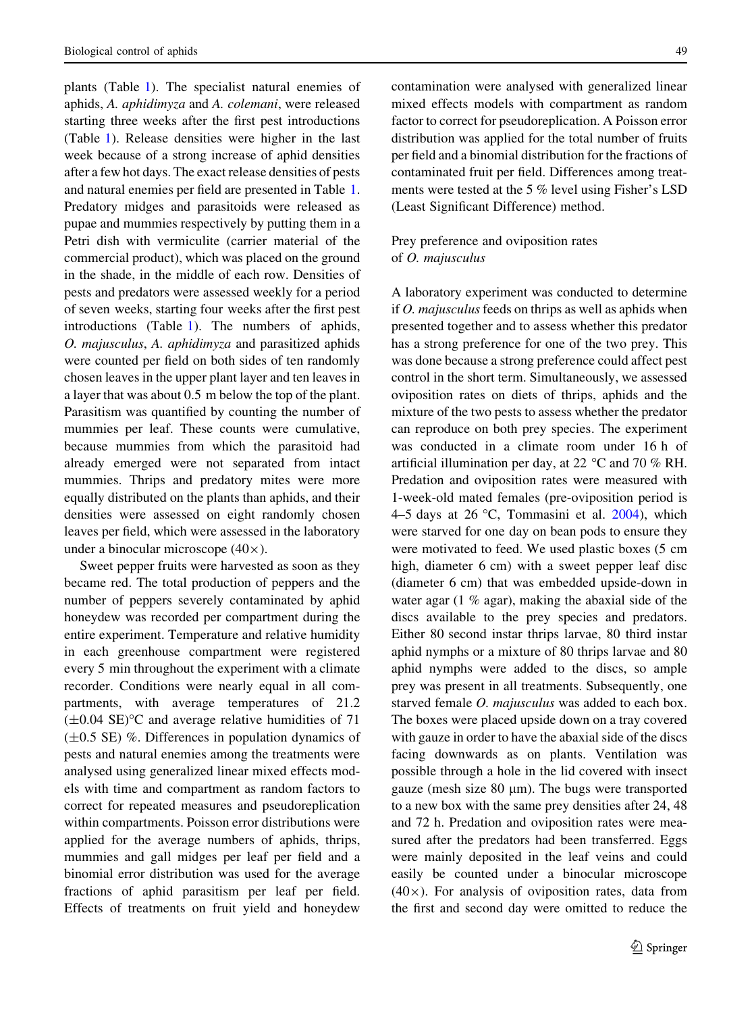plants (Table [1](#page-3-0)). The specialist natural enemies of aphids, A. aphidimyza and A. colemani, were released starting three weeks after the first pest introductions (Table [1](#page-3-0)). Release densities were higher in the last week because of a strong increase of aphid densities after a few hot days. The exact release densities of pests and natural enemies per field are presented in Table [1.](#page-3-0) Predatory midges and parasitoids were released as pupae and mummies respectively by putting them in a Petri dish with vermiculite (carrier material of the commercial product), which was placed on the ground in the shade, in the middle of each row. Densities of pests and predators were assessed weekly for a period of seven weeks, starting four weeks after the first pest introductions (Table [1](#page-3-0)). The numbers of aphids, O. majusculus, A. aphidimyza and parasitized aphids were counted per field on both sides of ten randomly chosen leaves in the upper plant layer and ten leaves in a layer that was about 0.5 m below the top of the plant. Parasitism was quantified by counting the number of mummies per leaf. These counts were cumulative, because mummies from which the parasitoid had already emerged were not separated from intact mummies. Thrips and predatory mites were more equally distributed on the plants than aphids, and their densities were assessed on eight randomly chosen leaves per field, which were assessed in the laboratory under a binocular microscope  $(40\times)$ .

Sweet pepper fruits were harvested as soon as they became red. The total production of peppers and the number of peppers severely contaminated by aphid honeydew was recorded per compartment during the entire experiment. Temperature and relative humidity in each greenhouse compartment were registered every 5 min throughout the experiment with a climate recorder. Conditions were nearly equal in all compartments, with average temperatures of 21.2  $(\pm 0.04 \text{ SE})^{\circ}\text{C}$  and average relative humidities of 71  $(\pm 0.5 \text{ SE})$  %. Differences in population dynamics of pests and natural enemies among the treatments were analysed using generalized linear mixed effects models with time and compartment as random factors to correct for repeated measures and pseudoreplication within compartments. Poisson error distributions were applied for the average numbers of aphids, thrips, mummies and gall midges per leaf per field and a binomial error distribution was used for the average fractions of aphid parasitism per leaf per field. Effects of treatments on fruit yield and honeydew

contamination were analysed with generalized linear mixed effects models with compartment as random factor to correct for pseudoreplication. A Poisson error distribution was applied for the total number of fruits per field and a binomial distribution for the fractions of contaminated fruit per field. Differences among treatments were tested at the 5 % level using Fisher's LSD (Least Significant Difference) method.

# Prey preference and oviposition rates of O. majusculus

A laboratory experiment was conducted to determine if O. majusculus feeds on thrips as well as aphids when presented together and to assess whether this predator has a strong preference for one of the two prey. This was done because a strong preference could affect pest control in the short term. Simultaneously, we assessed oviposition rates on diets of thrips, aphids and the mixture of the two pests to assess whether the predator can reproduce on both prey species. The experiment was conducted in a climate room under 16 h of artificial illumination per day, at 22  $\mathrm{^{\circ}C}$  and 70 % RH. Predation and oviposition rates were measured with 1-week-old mated females (pre-oviposition period is 4–5 days at 26 °C, Tommasini et al.  $2004$ ), which were starved for one day on bean pods to ensure they were motivated to feed. We used plastic boxes (5 cm high, diameter 6 cm) with a sweet pepper leaf disc (diameter 6 cm) that was embedded upside-down in water agar (1 % agar), making the abaxial side of the discs available to the prey species and predators. Either 80 second instar thrips larvae, 80 third instar aphid nymphs or a mixture of 80 thrips larvae and 80 aphid nymphs were added to the discs, so ample prey was present in all treatments. Subsequently, one starved female *O. majusculus* was added to each box. The boxes were placed upside down on a tray covered with gauze in order to have the abaxial side of the discs facing downwards as on plants. Ventilation was possible through a hole in the lid covered with insect gauze (mesh size  $80 \mu m$ ). The bugs were transported to a new box with the same prey densities after 24, 48 and 72 h. Predation and oviposition rates were measured after the predators had been transferred. Eggs were mainly deposited in the leaf veins and could easily be counted under a binocular microscope  $(40\times)$ . For analysis of oviposition rates, data from the first and second day were omitted to reduce the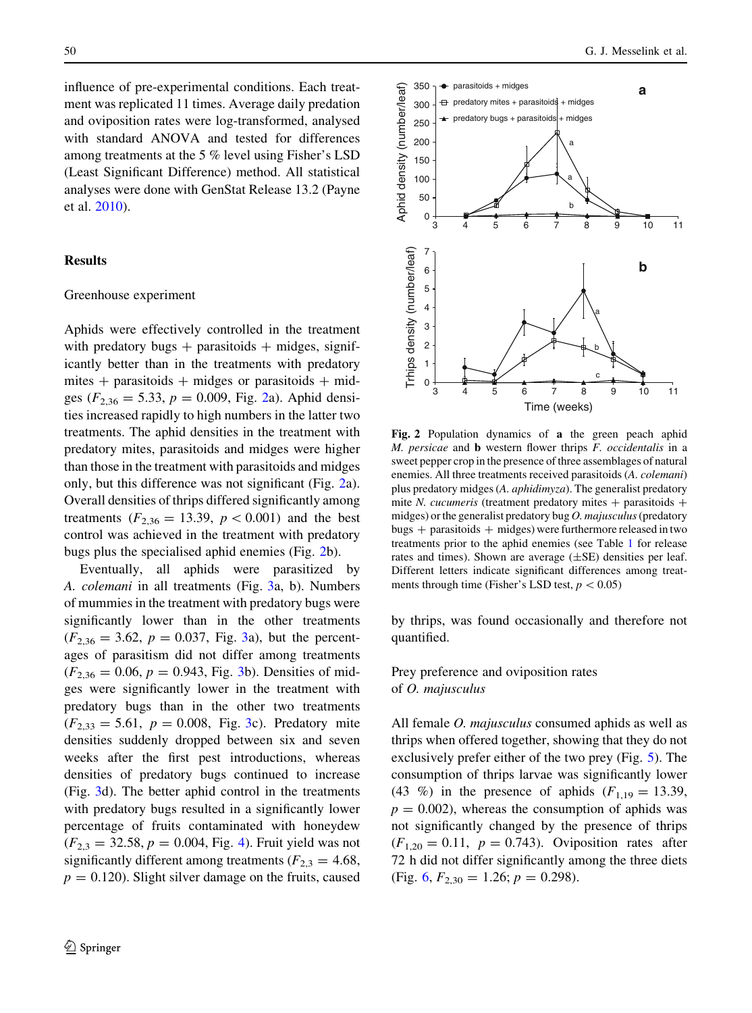<span id="page-5-0"></span>influence of pre-experimental conditions. Each treatment was replicated 11 times. Average daily predation and oviposition rates were log-transformed, analysed with standard ANOVA and tested for differences among treatments at the 5 % level using Fisher's LSD (Least Significant Difference) method. All statistical analyses were done with GenStat Release 13.2 (Payne et al. [2010](#page-10-0)).

#### Results

#### Greenhouse experiment

Aphids were effectively controlled in the treatment with predatory bugs  $+$  parasitoids  $+$  midges, significantly better than in the treatments with predatory mites  $+$  parasitoids  $+$  midges or parasitoids  $+$  midges ( $F_{2,36} = 5.33$ ,  $p = 0.009$ , Fig. 2a). Aphid densities increased rapidly to high numbers in the latter two treatments. The aphid densities in the treatment with predatory mites, parasitoids and midges were higher than those in the treatment with parasitoids and midges only, but this difference was not significant (Fig. 2a). Overall densities of thrips differed significantly among treatments ( $F_{2,36} = 13.39$ ,  $p < 0.001$ ) and the best control was achieved in the treatment with predatory bugs plus the specialised aphid enemies (Fig. 2b).

Eventually, all aphids were parasitized by A. colemani in all treatments (Fig. [3a](#page-6-0), b). Numbers of mummies in the treatment with predatory bugs were significantly lower than in the other treatments  $(F_{2,36} = 3.62, p = 0.037, Fig. 3a)$  $(F_{2,36} = 3.62, p = 0.037, Fig. 3a)$  $(F_{2,36} = 3.62, p = 0.037, Fig. 3a)$ , but the percentages of parasitism did not differ among treatments  $(F_{2,36} = 0.06, p = 0.943, Fig. 3b)$  $(F_{2,36} = 0.06, p = 0.943, Fig. 3b)$  $(F_{2,36} = 0.06, p = 0.943, Fig. 3b)$ . Densities of midges were significantly lower in the treatment with predatory bugs than in the other two treatments  $(F_{2,33} = 5.61, p = 0.008, Fig. 3c)$  $(F_{2,33} = 5.61, p = 0.008, Fig. 3c)$  $(F_{2,33} = 5.61, p = 0.008, Fig. 3c)$ . Predatory mite densities suddenly dropped between six and seven weeks after the first pest introductions, whereas densities of predatory bugs continued to increase (Fig. [3](#page-6-0)d). The better aphid control in the treatments with predatory bugs resulted in a significantly lower percentage of fruits contaminated with honeydew  $(F_{2,3} = 32.58, p = 0.004, Fig. 4)$  $(F_{2,3} = 32.58, p = 0.004, Fig. 4)$  $(F_{2,3} = 32.58, p = 0.004, Fig. 4)$ . Fruit yield was not significantly different among treatments ( $F_{2,3} = 4.68$ ,  $p = 0.120$ . Slight silver damage on the fruits, caused



Fig. 2 Population dynamics of a the green peach aphid M. persicae and **b** western flower thrips *F. occidentalis* in a sweet pepper crop in the presence of three assemblages of natural enemies. All three treatments received parasitoids (A. colemani) plus predatory midges (A. aphidimyza). The generalist predatory mite N. cucumeris (treatment predatory mites  $+$  parasitoids  $+$ midges) or the generalist predatory bug  $O$ . majusculus (predatory  $bugs + parasitoids + midges)$  were furthermore released in two treatments prior to the aphid enemies (see Table [1](#page-3-0) for release rates and times). Shown are average  $(\pm SE)$  densities per leaf. Different letters indicate significant differences among treatments through time (Fisher's LSD test,  $p < 0.05$ )

by thrips, was found occasionally and therefore not quantified.

Prey preference and oviposition rates of O. majusculus

All female O. majusculus consumed aphids as well as thrips when offered together, showing that they do not exclusively prefer either of the two prey (Fig. [5](#page-7-0)). The consumption of thrips larvae was significantly lower (43 %) in the presence of aphids  $(F<sub>1,19</sub> = 13.39)$ ,  $p = 0.002$ , whereas the consumption of aphids was not significantly changed by the presence of thrips  $(F_{1,20} = 0.11, p = 0.743)$ . Oviposition rates after 72 h did not differ significantly among the three diets (Fig. [6](#page-7-0),  $F_{2,30} = 1.26$ ;  $p = 0.298$ ).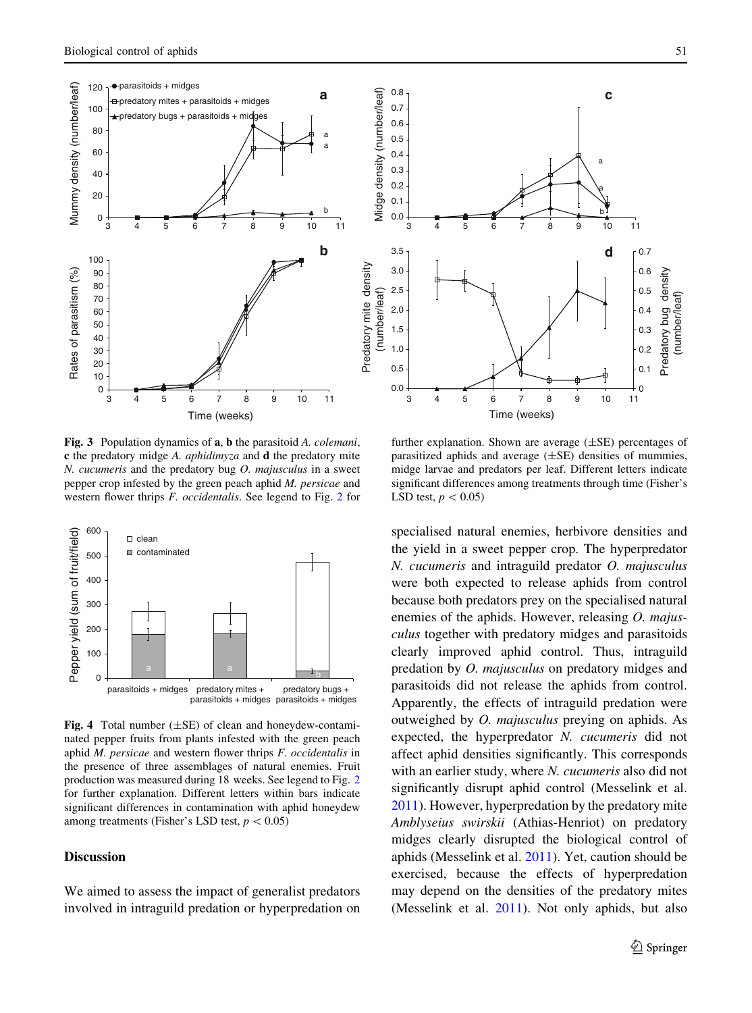<span id="page-6-0"></span>

Fig. 3 Population dynamics of a, b the parasitoid A. colemani, c the predatory midge A. aphidimyza and d the predatory mite  $N.$  cucumeris and the predatory bug  $O.$  majusculus in a sweet pepper crop infested by the green peach aphid M. persicae and western flower thrips F. occidentalis. See legend to Fig. [2](#page-5-0) for



Fig. 4 Total number  $(\pm SE)$  of clean and honeydew-contaminated pepper fruits from plants infested with the green peach aphid  $M$ . persicae and western flower thrips  $F$ . occidentalis in the presence of three assemblages of natural enemies. Fruit production was measured during 18 weeks. See legend to Fig. [2](#page-5-0) for further explanation. Different letters within bars indicate significant differences in contamination with aphid honeydew among treatments (Fisher's LSD test,  $p < 0.05$ )

## Discussion

We aimed to assess the impact of generalist predators involved in intraguild predation or hyperpredation on



further explanation. Shown are average  $(\pm SE)$  percentages of parasitized aphids and average  $(\pm SE)$  densities of mummies, midge larvae and predators per leaf. Different letters indicate significant differences among treatments through time (Fisher's LSD test,  $p < 0.05$ )

specialised natural enemies, herbivore densities and the yield in a sweet pepper crop. The hyperpredator N. cucumeris and intraguild predator O. majusculus were both expected to release aphids from control because both predators prey on the specialised natural enemies of the aphids. However, releasing O. majusculus together with predatory midges and parasitoids clearly improved aphid control. Thus, intraguild predation by O. majusculus on predatory midges and parasitoids did not release the aphids from control. Apparently, the effects of intraguild predation were outweighed by O. majusculus preying on aphids. As expected, the hyperpredator N. cucumeris did not affect aphid densities significantly. This corresponds with an earlier study, where N. cucumeris also did not significantly disrupt aphid control (Messelink et al. [2011\)](#page-10-0). However, hyperpredation by the predatory mite Amblyseius swirskii (Athias-Henriot) on predatory midges clearly disrupted the biological control of aphids (Messelink et al. [2011](#page-10-0)). Yet, caution should be exercised, because the effects of hyperpredation may depend on the densities of the predatory mites (Messelink et al. [2011\)](#page-10-0). Not only aphids, but also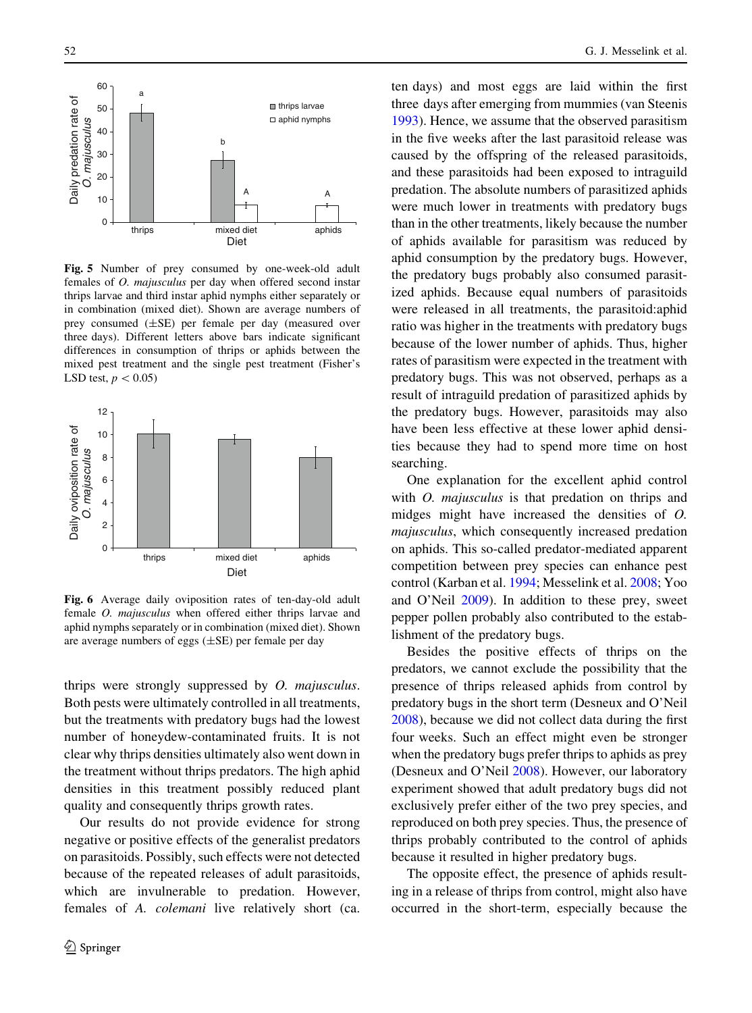<span id="page-7-0"></span>

Fig. 5 Number of prey consumed by one-week-old adult females of O. majusculus per day when offered second instar thrips larvae and third instar aphid nymphs either separately or in combination (mixed diet). Shown are average numbers of prey consumed (±SE) per female per day (measured over three days). Different letters above bars indicate significant differences in consumption of thrips or aphids between the mixed pest treatment and the single pest treatment (Fisher's LSD test,  $p < 0.05$ )



Fig. 6 Average daily oviposition rates of ten-day-old adult female O. majusculus when offered either thrips larvae and aphid nymphs separately or in combination (mixed diet). Shown are average numbers of eggs  $(\pm SE)$  per female per day

thrips were strongly suppressed by O. majusculus. Both pests were ultimately controlled in all treatments, but the treatments with predatory bugs had the lowest number of honeydew-contaminated fruits. It is not clear why thrips densities ultimately also went down in the treatment without thrips predators. The high aphid densities in this treatment possibly reduced plant quality and consequently thrips growth rates.

Our results do not provide evidence for strong negative or positive effects of the generalist predators on parasitoids. Possibly, such effects were not detected because of the repeated releases of adult parasitoids, which are invulnerable to predation. However, females of A. colemani live relatively short (ca. ten days) and most eggs are laid within the first three days after emerging from mummies (van Steenis [1993\)](#page-10-0). Hence, we assume that the observed parasitism in the five weeks after the last parasitoid release was caused by the offspring of the released parasitoids, and these parasitoids had been exposed to intraguild predation. The absolute numbers of parasitized aphids were much lower in treatments with predatory bugs than in the other treatments, likely because the number of aphids available for parasitism was reduced by aphid consumption by the predatory bugs. However, the predatory bugs probably also consumed parasitized aphids. Because equal numbers of parasitoids were released in all treatments, the parasitoid:aphid ratio was higher in the treatments with predatory bugs because of the lower number of aphids. Thus, higher rates of parasitism were expected in the treatment with predatory bugs. This was not observed, perhaps as a result of intraguild predation of parasitized aphids by the predatory bugs. However, parasitoids may also have been less effective at these lower aphid densities because they had to spend more time on host searching.

One explanation for the excellent aphid control with *O. majusculus* is that predation on thrips and midges might have increased the densities of O. majusculus, which consequently increased predation on aphids. This so-called predator-mediated apparent competition between prey species can enhance pest control (Karban et al. [1994](#page-9-0); Messelink et al. [2008;](#page-9-0) Yoo and O'Neil [2009\)](#page-10-0). In addition to these prey, sweet pepper pollen probably also contributed to the establishment of the predatory bugs.

Besides the positive effects of thrips on the predators, we cannot exclude the possibility that the presence of thrips released aphids from control by predatory bugs in the short term (Desneux and O'Neil [2008\)](#page-9-0), because we did not collect data during the first four weeks. Such an effect might even be stronger when the predatory bugs prefer thrips to aphids as prey (Desneux and O'Neil [2008](#page-9-0)). However, our laboratory experiment showed that adult predatory bugs did not exclusively prefer either of the two prey species, and reproduced on both prey species. Thus, the presence of thrips probably contributed to the control of aphids because it resulted in higher predatory bugs.

The opposite effect, the presence of aphids resulting in a release of thrips from control, might also have occurred in the short-term, especially because the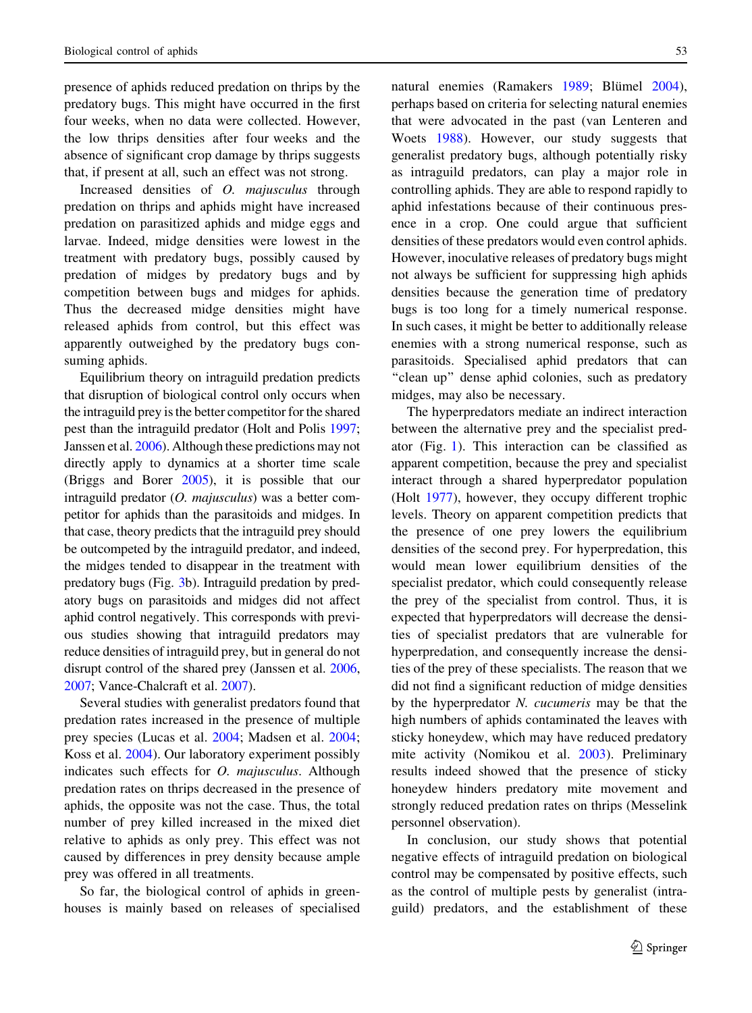presence of aphids reduced predation on thrips by the predatory bugs. This might have occurred in the first four weeks, when no data were collected. However, the low thrips densities after four weeks and the absence of significant crop damage by thrips suggests that, if present at all, such an effect was not strong.

Increased densities of O. majusculus through predation on thrips and aphids might have increased predation on parasitized aphids and midge eggs and larvae. Indeed, midge densities were lowest in the treatment with predatory bugs, possibly caused by predation of midges by predatory bugs and by competition between bugs and midges for aphids. Thus the decreased midge densities might have released aphids from control, but this effect was apparently outweighed by the predatory bugs consuming aphids.

Equilibrium theory on intraguild predation predicts that disruption of biological control only occurs when the intraguild prey is the better competitor for the shared pest than the intraguild predator (Holt and Polis [1997](#page-9-0); Janssen et al. [2006\)](#page-9-0). Although these predictions may not directly apply to dynamics at a shorter time scale (Briggs and Borer [2005\)](#page-9-0), it is possible that our intraguild predator (O. majusculus) was a better competitor for aphids than the parasitoids and midges. In that case, theory predicts that the intraguild prey should be outcompeted by the intraguild predator, and indeed, the midges tended to disappear in the treatment with predatory bugs (Fig. [3b](#page-6-0)). Intraguild predation by predatory bugs on parasitoids and midges did not affect aphid control negatively. This corresponds with previous studies showing that intraguild predators may reduce densities of intraguild prey, but in general do not disrupt control of the shared prey (Janssen et al. [2006,](#page-9-0) [2007](#page-9-0); Vance-Chalcraft et al. [2007\)](#page-10-0).

Several studies with generalist predators found that predation rates increased in the presence of multiple prey species (Lucas et al. [2004;](#page-9-0) Madsen et al. [2004](#page-9-0); Koss et al. [2004](#page-9-0)). Our laboratory experiment possibly indicates such effects for *O. majusculus*. Although predation rates on thrips decreased in the presence of aphids, the opposite was not the case. Thus, the total number of prey killed increased in the mixed diet relative to aphids as only prey. This effect was not caused by differences in prey density because ample prey was offered in all treatments.

So far, the biological control of aphids in greenhouses is mainly based on releases of specialised natural enemies (Ramakers [1989;](#page-10-0) Blümel [2004](#page-9-0)), perhaps based on criteria for selecting natural enemies that were advocated in the past (van Lenteren and Woets [1988](#page-10-0)). However, our study suggests that generalist predatory bugs, although potentially risky as intraguild predators, can play a major role in controlling aphids. They are able to respond rapidly to aphid infestations because of their continuous presence in a crop. One could argue that sufficient densities of these predators would even control aphids. However, inoculative releases of predatory bugs might not always be sufficient for suppressing high aphids densities because the generation time of predatory bugs is too long for a timely numerical response. In such cases, it might be better to additionally release enemies with a strong numerical response, such as parasitoids. Specialised aphid predators that can ''clean up'' dense aphid colonies, such as predatory midges, may also be necessary.

The hyperpredators mediate an indirect interaction between the alternative prey and the specialist predator (Fig. [1](#page-2-0)). This interaction can be classified as apparent competition, because the prey and specialist interact through a shared hyperpredator population (Holt [1977\)](#page-9-0), however, they occupy different trophic levels. Theory on apparent competition predicts that the presence of one prey lowers the equilibrium densities of the second prey. For hyperpredation, this would mean lower equilibrium densities of the specialist predator, which could consequently release the prey of the specialist from control. Thus, it is expected that hyperpredators will decrease the densities of specialist predators that are vulnerable for hyperpredation, and consequently increase the densities of the prey of these specialists. The reason that we did not find a significant reduction of midge densities by the hyperpredator N. cucumeris may be that the high numbers of aphids contaminated the leaves with sticky honeydew, which may have reduced predatory mite activity (Nomikou et al. [2003](#page-10-0)). Preliminary results indeed showed that the presence of sticky honeydew hinders predatory mite movement and strongly reduced predation rates on thrips (Messelink personnel observation).

In conclusion, our study shows that potential negative effects of intraguild predation on biological control may be compensated by positive effects, such as the control of multiple pests by generalist (intraguild) predators, and the establishment of these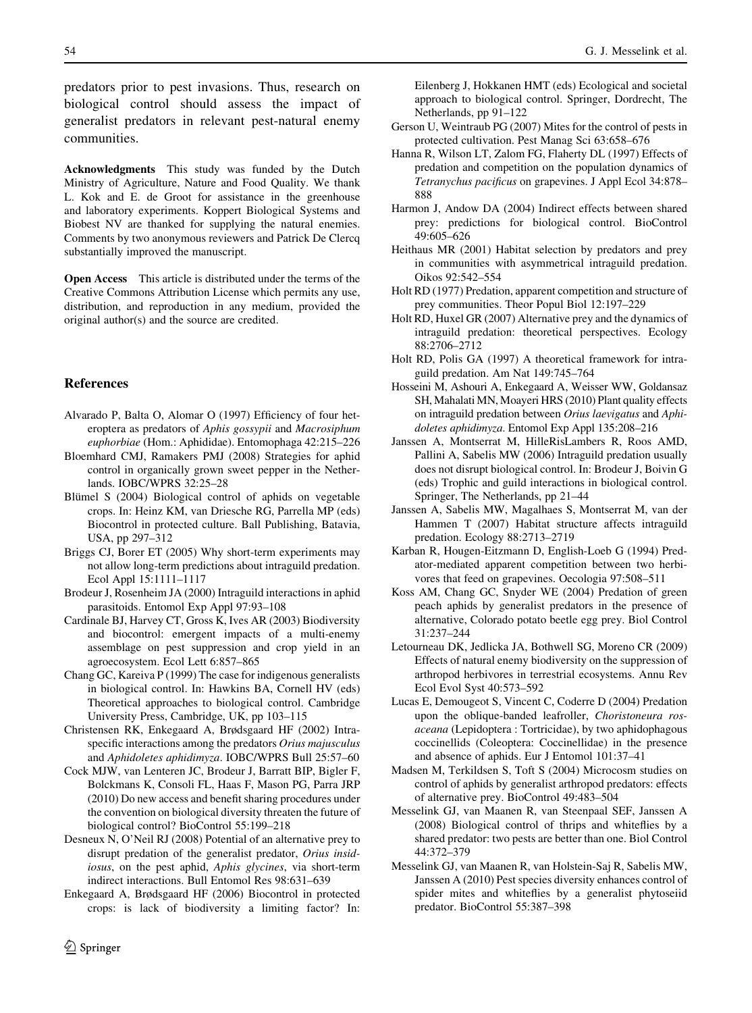<span id="page-9-0"></span>Acknowledgments This study was funded by the Dutch Ministry of Agriculture, Nature and Food Quality. We thank L. Kok and E. de Groot for assistance in the greenhouse and laboratory experiments. Koppert Biological Systems and Biobest NV are thanked for supplying the natural enemies. Comments by two anonymous reviewers and Patrick De Clercq substantially improved the manuscript.

Open Access This article is distributed under the terms of the Creative Commons Attribution License which permits any use, distribution, and reproduction in any medium, provided the original author(s) and the source are credited.

## References

- Alvarado P, Balta O, Alomar O (1997) Efficiency of four heteroptera as predators of Aphis gossypii and Macrosiphum euphorbiae (Hom.: Aphididae). Entomophaga 42:215–226
- Bloemhard CMJ, Ramakers PMJ (2008) Strategies for aphid control in organically grown sweet pepper in the Netherlands. IOBC/WPRS 32:25–28
- Blümel S (2004) Biological control of aphids on vegetable crops. In: Heinz KM, van Driesche RG, Parrella MP (eds) Biocontrol in protected culture. Ball Publishing, Batavia, USA, pp 297–312
- Briggs CJ, Borer ET (2005) Why short-term experiments may not allow long-term predictions about intraguild predation. Ecol Appl 15:1111–1117
- Brodeur J, Rosenheim JA (2000) Intraguild interactions in aphid parasitoids. Entomol Exp Appl 97:93–108
- Cardinale BJ, Harvey CT, Gross K, Ives AR (2003) Biodiversity and biocontrol: emergent impacts of a multi-enemy assemblage on pest suppression and crop yield in an agroecosystem. Ecol Lett 6:857–865
- Chang GC, Kareiva P (1999) The case for indigenous generalists in biological control. In: Hawkins BA, Cornell HV (eds) Theoretical approaches to biological control. Cambridge University Press, Cambridge, UK, pp 103–115
- Christensen RK, Enkegaard A, Brødsgaard HF (2002) Intraspecific interactions among the predators Orius majusculus and Aphidoletes aphidimyza. IOBC/WPRS Bull 25:57–60
- Cock MJW, van Lenteren JC, Brodeur J, Barratt BIP, Bigler F, Bolckmans K, Consoli FL, Haas F, Mason PG, Parra JRP (2010) Do new access and benefit sharing procedures under the convention on biological diversity threaten the future of biological control? BioControl 55:199–218
- Desneux N, O'Neil RJ (2008) Potential of an alternative prey to disrupt predation of the generalist predator, Orius insidiosus, on the pest aphid, Aphis glycines, via short-term indirect interactions. Bull Entomol Res 98:631–639
- Enkegaard A, Brødsgaard HF (2006) Biocontrol in protected crops: is lack of biodiversity a limiting factor? In:

Eilenberg J, Hokkanen HMT (eds) Ecological and societal approach to biological control. Springer, Dordrecht, The Netherlands, pp 91–122

- Gerson U, Weintraub PG (2007) Mites for the control of pests in protected cultivation. Pest Manag Sci 63:658–676
- Hanna R, Wilson LT, Zalom FG, Flaherty DL (1997) Effects of predation and competition on the population dynamics of Tetranychus pacificus on grapevines. J Appl Ecol 34:878– 888
- Harmon J, Andow DA (2004) Indirect effects between shared prey: predictions for biological control. BioControl 49:605–626
- Heithaus MR (2001) Habitat selection by predators and prey in communities with asymmetrical intraguild predation. Oikos 92:542–554
- Holt RD (1977) Predation, apparent competition and structure of prey communities. Theor Popul Biol 12:197–229
- Holt RD, Huxel GR (2007) Alternative prey and the dynamics of intraguild predation: theoretical perspectives. Ecology 88:2706–2712
- Holt RD, Polis GA (1997) A theoretical framework for intraguild predation. Am Nat 149:745–764
- Hosseini M, Ashouri A, Enkegaard A, Weisser WW, Goldansaz SH, Mahalati MN, Moayeri HRS (2010) Plant quality effects on intraguild predation between Orius laevigatus and Aphidoletes aphidimyza. Entomol Exp Appl 135:208–216
- Janssen A, Montserrat M, HilleRisLambers R, Roos AMD, Pallini A, Sabelis MW (2006) Intraguild predation usually does not disrupt biological control. In: Brodeur J, Boivin G (eds) Trophic and guild interactions in biological control. Springer, The Netherlands, pp 21–44
- Janssen A, Sabelis MW, Magalhaes S, Montserrat M, van der Hammen T (2007) Habitat structure affects intraguild predation. Ecology 88:2713–2719
- Karban R, Hougen-Eitzmann D, English-Loeb G (1994) Predator-mediated apparent competition between two herbivores that feed on grapevines. Oecologia 97:508–511
- Koss AM, Chang GC, Snyder WE (2004) Predation of green peach aphids by generalist predators in the presence of alternative, Colorado potato beetle egg prey. Biol Control 31:237–244
- Letourneau DK, Jedlicka JA, Bothwell SG, Moreno CR (2009) Effects of natural enemy biodiversity on the suppression of arthropod herbivores in terrestrial ecosystems. Annu Rev Ecol Evol Syst 40:573–592
- Lucas E, Demougeot S, Vincent C, Coderre D (2004) Predation upon the oblique-banded leafroller, Choristoneura rosaceana (Lepidoptera : Tortricidae), by two aphidophagous coccinellids (Coleoptera: Coccinellidae) in the presence and absence of aphids. Eur J Entomol 101:37–41
- Madsen M, Terkildsen S, Toft S (2004) Microcosm studies on control of aphids by generalist arthropod predators: effects of alternative prey. BioControl 49:483–504
- Messelink GJ, van Maanen R, van Steenpaal SEF, Janssen A (2008) Biological control of thrips and whiteflies by a shared predator: two pests are better than one. Biol Control 44:372–379
- Messelink GJ, van Maanen R, van Holstein-Saj R, Sabelis MW, Janssen A (2010) Pest species diversity enhances control of spider mites and whiteflies by a generalist phytoseiid predator. BioControl 55:387–398